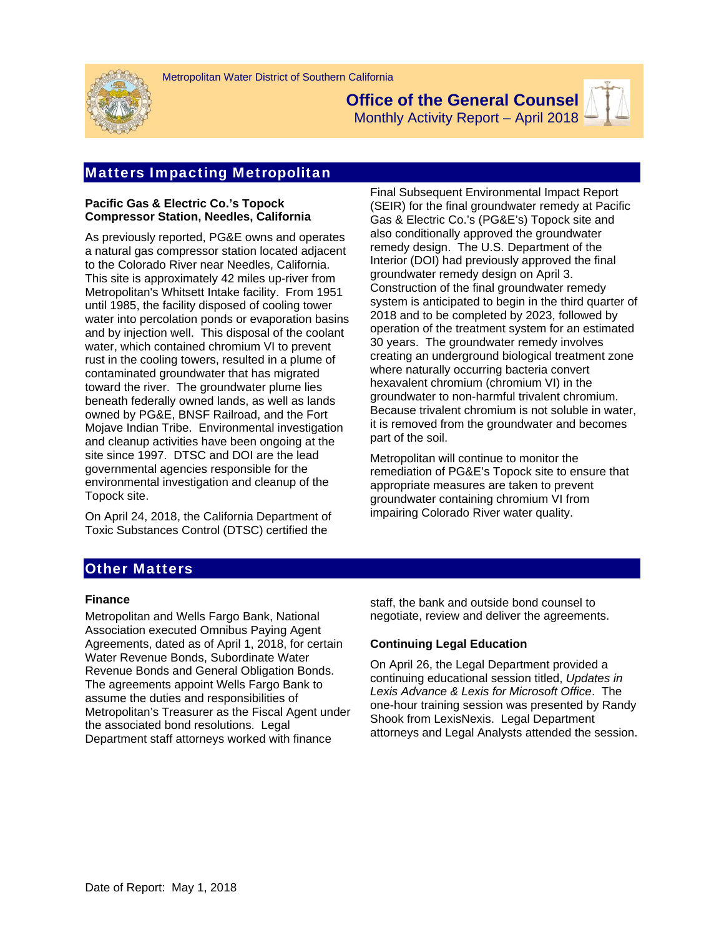

**Office of the General Counsel**  Monthly Activity Report – April 2018



### **Pacific Gas & Electric Co.'s Topock Compressor Station, Needles, California**

As previously reported, PG&E owns and operates a natural gas compressor station located adjacent to the Colorado River near Needles, California. This site is approximately 42 miles up-river from Metropolitan's Whitsett Intake facility. From 1951 until 1985, the facility disposed of cooling tower water into percolation ponds or evaporation basins and by injection well. This disposal of the coolant water, which contained chromium VI to prevent rust in the cooling towers, resulted in a plume of contaminated groundwater that has migrated toward the river. The groundwater plume lies beneath federally owned lands, as well as lands owned by PG&E, BNSF Railroad, and the Fort Mojave Indian Tribe. Environmental investigation and cleanup activities have been ongoing at the site since 1997. DTSC and DOI are the lead governmental agencies responsible for the environmental investigation and cleanup of the Topock site.

On April 24, 2018, the California Department of Toxic Substances Control (DTSC) certified the

Final Subsequent Environmental Impact Report (SEIR) for the final groundwater remedy at Pacific Gas & Electric Co.'s (PG&E's) Topock site and also conditionally approved the groundwater remedy design. The U.S. Department of the Interior (DOI) had previously approved the final groundwater remedy design on April 3. Construction of the final groundwater remedy system is anticipated to begin in the third quarter of 2018 and to be completed by 2023, followed by operation of the treatment system for an estimated 30 years. The groundwater remedy involves creating an underground biological treatment zone where naturally occurring bacteria convert hexavalent chromium (chromium VI) in the groundwater to non-harmful trivalent chromium. Because trivalent chromium is not soluble in water, it is removed from the groundwater and becomes part of the soil.

Metropolitan will continue to monitor the remediation of PG&E's Topock site to ensure that appropriate measures are taken to prevent groundwater containing chromium VI from impairing Colorado River water quality.

# Other Matters

#### **Finance**

Metropolitan and Wells Fargo Bank, National Association executed Omnibus Paying Agent Agreements, dated as of April 1, 2018, for certain Water Revenue Bonds, Subordinate Water Revenue Bonds and General Obligation Bonds. The agreements appoint Wells Fargo Bank to assume the duties and responsibilities of Metropolitan's Treasurer as the Fiscal Agent under the associated bond resolutions. Legal Department staff attorneys worked with finance

staff, the bank and outside bond counsel to negotiate, review and deliver the agreements.

## **Continuing Legal Education**

On April 26, the Legal Department provided a continuing educational session titled, *Updates in Lexis Advance & Lexis for Microsoft Office*. The one-hour training session was presented by Randy Shook from LexisNexis. Legal Department attorneys and Legal Analysts attended the session.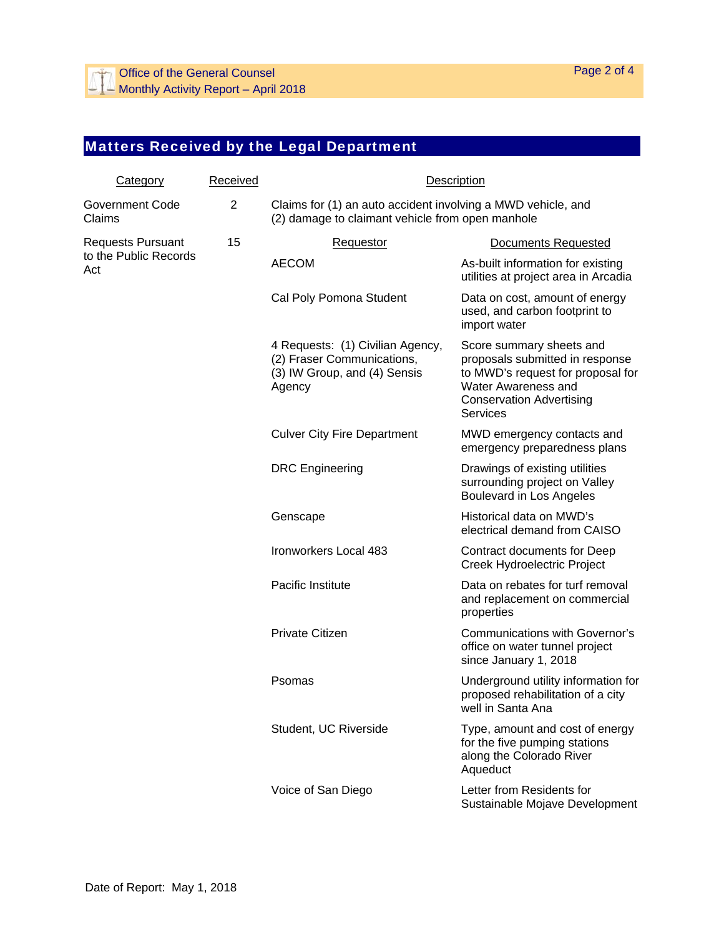# Matters Received by the Legal Department

| <b>Category</b>                                          | Received       | Description                                                                                                      |                                                                                                                                                                               |
|----------------------------------------------------------|----------------|------------------------------------------------------------------------------------------------------------------|-------------------------------------------------------------------------------------------------------------------------------------------------------------------------------|
| <b>Government Code</b><br>Claims                         | $\overline{2}$ | Claims for (1) an auto accident involving a MWD vehicle, and<br>(2) damage to claimant vehicle from open manhole |                                                                                                                                                                               |
| <b>Requests Pursuant</b><br>to the Public Records<br>Act | 15             | Requestor                                                                                                        | <b>Documents Requested</b>                                                                                                                                                    |
|                                                          |                | <b>AECOM</b>                                                                                                     | As-built information for existing<br>utilities at project area in Arcadia                                                                                                     |
|                                                          |                | Cal Poly Pomona Student                                                                                          | Data on cost, amount of energy<br>used, and carbon footprint to<br>import water                                                                                               |
|                                                          |                | 4 Requests: (1) Civilian Agency,<br>(2) Fraser Communications,<br>(3) IW Group, and (4) Sensis<br>Agency         | Score summary sheets and<br>proposals submitted in response<br>to MWD's request for proposal for<br>Water Awareness and<br><b>Conservation Advertising</b><br><b>Services</b> |
|                                                          |                | <b>Culver City Fire Department</b>                                                                               | MWD emergency contacts and<br>emergency preparedness plans                                                                                                                    |
|                                                          |                | <b>DRC</b> Engineering                                                                                           | Drawings of existing utilities<br>surrounding project on Valley<br>Boulevard in Los Angeles                                                                                   |
|                                                          |                | Genscape                                                                                                         | Historical data on MWD's<br>electrical demand from CAISO                                                                                                                      |
|                                                          |                | Ironworkers Local 483                                                                                            | Contract documents for Deep<br>Creek Hydroelectric Project                                                                                                                    |
|                                                          |                | Pacific Institute                                                                                                | Data on rebates for turf removal<br>and replacement on commercial<br>properties                                                                                               |
|                                                          |                | Private Citizen                                                                                                  | <b>Communications with Governor's</b><br>office on water tunnel project<br>since January 1, 2018                                                                              |
|                                                          |                | Psomas                                                                                                           | Underground utility information for<br>proposed rehabilitation of a city<br>well in Santa Ana                                                                                 |
|                                                          |                | Student, UC Riverside                                                                                            | Type, amount and cost of energy<br>for the five pumping stations<br>along the Colorado River<br>Aqueduct                                                                      |
|                                                          |                | Voice of San Diego                                                                                               | Letter from Residents for<br>Sustainable Mojave Development                                                                                                                   |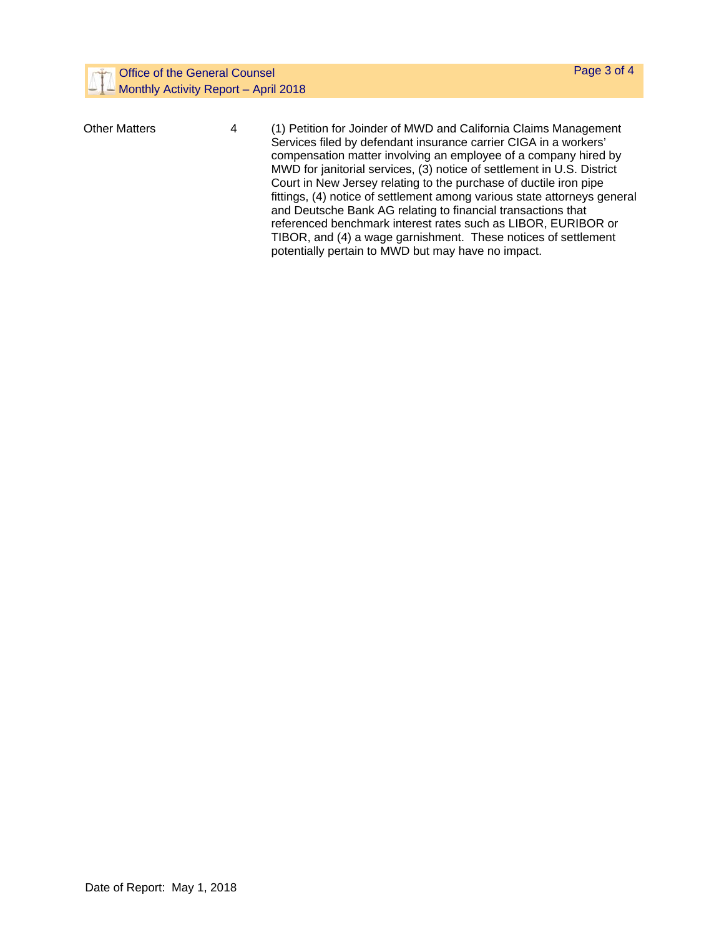| <b>Office of the General Counsel</b><br>Monthly Activity Report - April 2018 |   | Page 3 of 4                                                                                                                                                                                                                                                                                                                                                                                                                                                                                        |
|------------------------------------------------------------------------------|---|----------------------------------------------------------------------------------------------------------------------------------------------------------------------------------------------------------------------------------------------------------------------------------------------------------------------------------------------------------------------------------------------------------------------------------------------------------------------------------------------------|
| <b>Other Matters</b>                                                         | 4 | (1) Petition for Joinder of MWD and California Claims Management<br>Services filed by defendant insurance carrier CIGA in a workers'<br>compensation matter involving an employee of a company hired by<br>MWD for janitorial services, (3) notice of settlement in U.S. District<br>Court in New Jersey relating to the purchase of ductile iron pipe<br>fittings, (4) notice of settlement among various state attorneys general<br>and Deutsche Bank AG relating to financial transactions that |
|                                                                              |   | referenced benchmark interest rates such as LIBOR, EURIBOR or<br>TIBOR, and (4) a wage garnishment. These notices of settlement                                                                                                                                                                                                                                                                                                                                                                    |

potentially pertain to MWD but may have no impact.